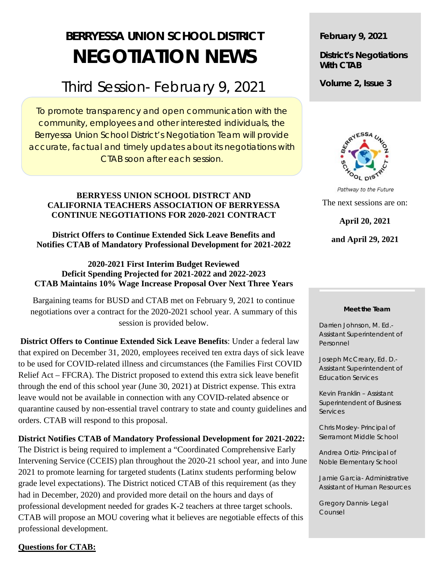# **BERRYESSA UNION SCHOOL DISTRICT NEGOTIATION NEWS**

## Third Session- February 9, 2021

To promote transparency and open communication with the community, employees and other interested individuals, the Berryessa Union School District's Negotiation Team will provide accurate, factual and timely updates about its negotiations with CTAB soon after each session.

#### **BERRYESS UNION SCHOOL DISTRCT AND CALIFORNIA TEACHERS ASSOCIATION OF BERRYESSA CONTINUE NEGOTIATIONS FOR 2020-2021 CONTRACT**

### **District Offers to Continue Extended Sick Leave Benefits and Notifies CTAB of Mandatory Professional Development for 2021-2022**

**2020-2021 First Interim Budget Reviewed Deficit Spending Projected for 2021-2022 and 2022-2023 CTAB Maintains 10% Wage Increase Proposal Over Next Three Years**

Bargaining teams for BUSD and CTAB met on February 9, 2021 to continue negotiations over a contract for the 2020-2021 school year. A summary of this session is provided below.

**District Offers to Continue Extended Sick Leave Benefits**: Under a federal law that expired on December 31, 2020, employees received ten extra days of sick leave to be used for COVID-related illness and circumstances (the Families First COVID Relief Act – FFCRA). The District proposed to extend this extra sick leave benefit through the end of this school year (June 30, 2021) at District expense. This extra leave would not be available in connection with any COVID-related absence or quarantine caused by non-essential travel contrary to state and county guidelines and orders. CTAB will respond to this proposal.

### **District Notifies CTAB of Mandatory Professional Development for 2021-2022:**

The District is being required to implement a "Coordinated Comprehensive Early Intervening Service (CCEIS) plan throughout the 2020-21 school year, and into June 2021 to promote learning for targeted students (Latinx students performing below grade level expectations). The District noticed CTAB of this requirement (as they had in December, 2020) and provided more detail on the hours and days of professional development needed for grades K-2 teachers at three target schools. CTAB will propose an MOU covering what it believes are negotiable effects of this professional development.

### **Questions for CTAB:**

**February 9, 2021**

**District's Negotiations With CTAB**

**Volume 2, Issue 3**



Pathway to the Future The next sessions are on: **April 20, 2021**

**and April 29, 2021**

#### **Meet the Team**

Darrien Johnson, M. Ed.- Assistant Superintendent of Personnel

Joseph McCreary, Ed. D.- Assistant Superintendent of Education Services

Kevin Franklin – Assistant Superintendent of Business **Services** 

Chris Mosley- Principal of Sierramont Middle School

Andrea Ortiz- Principal of Noble Elementary School

Jamie Garcia- Administrative Assistant of Human Resources

Gregory Dannis- Legal Counsel